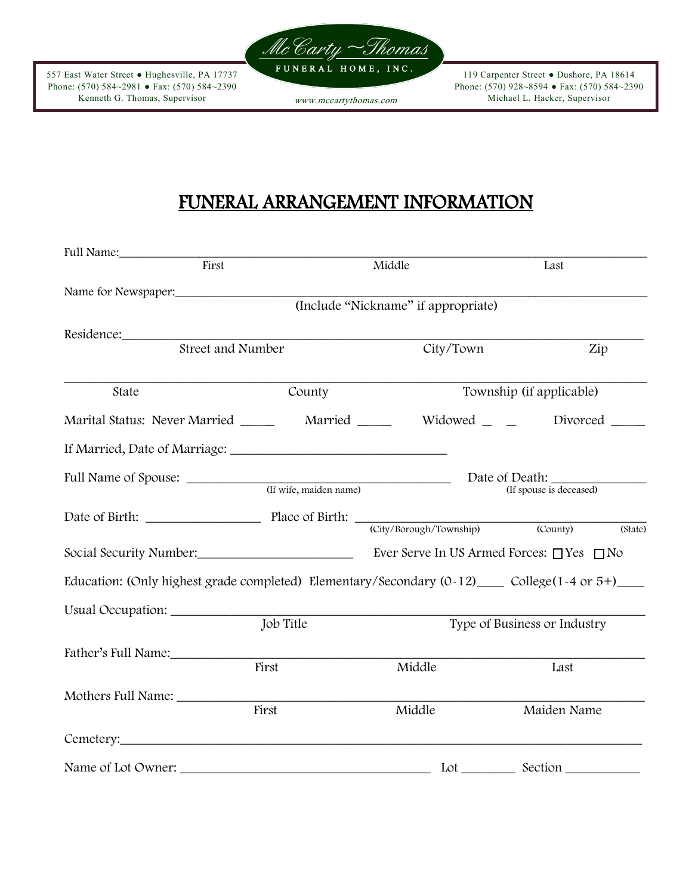

557 East Water Street ● Hughesville, PA 17737 Phone: (570) 584~2981 ● Fax: (570) 584~2390 Kenneth G. Thomas, Supervisor

119 Carpenter Street ● Dushore, PA 18614 Phone: (570) 928~8594 ● Fax: (570) 584~2390 www.mccartythomas.com Michael L. Hacker, Supervisor

# FUNERAL ARRANGEMENT INFORMATION

| Full Name:                                                                                                                                                                                                                           |                                     |                              |                          |  |  |  |  |  |
|--------------------------------------------------------------------------------------------------------------------------------------------------------------------------------------------------------------------------------------|-------------------------------------|------------------------------|--------------------------|--|--|--|--|--|
| First                                                                                                                                                                                                                                |                                     | Middle                       | Last                     |  |  |  |  |  |
| Name for Newspaper:                                                                                                                                                                                                                  |                                     |                              |                          |  |  |  |  |  |
|                                                                                                                                                                                                                                      | (Include "Nickname" if appropriate) |                              |                          |  |  |  |  |  |
| Residence:                                                                                                                                                                                                                           |                                     |                              |                          |  |  |  |  |  |
| Street and Number                                                                                                                                                                                                                    |                                     | City/Town                    | Zip                      |  |  |  |  |  |
| State                                                                                                                                                                                                                                | County                              |                              | Township (if applicable) |  |  |  |  |  |
| Marital Status: Never Married _______ Married ______ Widowed _ ___ Divorced ____                                                                                                                                                     |                                     |                              |                          |  |  |  |  |  |
|                                                                                                                                                                                                                                      |                                     |                              |                          |  |  |  |  |  |
|                                                                                                                                                                                                                                      | (If wife, maiden name)              | Date of Death:               |                          |  |  |  |  |  |
|                                                                                                                                                                                                                                      |                                     |                              | (If spouse is deceased)  |  |  |  |  |  |
| Date of Birth: Place of Birth: City/Borough/Township)                                                                                                                                                                                |                                     |                              | (County)<br>(State)      |  |  |  |  |  |
| Social Security Number: <u>New York:</u> Ever Serve In US Armed Forces: □ Yes □ No                                                                                                                                                   |                                     |                              |                          |  |  |  |  |  |
| Education: (Only highest grade completed) Elementary/Secondary $(0-12)$ College $(1-4$ or $5+)$                                                                                                                                      |                                     |                              |                          |  |  |  |  |  |
| Usual Occupation: ___________                                                                                                                                                                                                        |                                     |                              |                          |  |  |  |  |  |
| Job Title                                                                                                                                                                                                                            |                                     | Type of Business or Industry |                          |  |  |  |  |  |
| Father's Full Name:                                                                                                                                                                                                                  |                                     |                              |                          |  |  |  |  |  |
|                                                                                                                                                                                                                                      | First                               | Middle                       | Last                     |  |  |  |  |  |
| Mothers Full Name: ___________                                                                                                                                                                                                       |                                     |                              |                          |  |  |  |  |  |
|                                                                                                                                                                                                                                      | First                               | Middle                       | Maiden Name              |  |  |  |  |  |
| Cemetery: <u>compared and contract and contract and contract and contract and contract and contract and contract and contract and contract and contract and contract and contract and contract and contract and contract and con</u> |                                     |                              |                          |  |  |  |  |  |
| Name of Lot Owner:                                                                                                                                                                                                                   |                                     |                              | Lot ___________ Section  |  |  |  |  |  |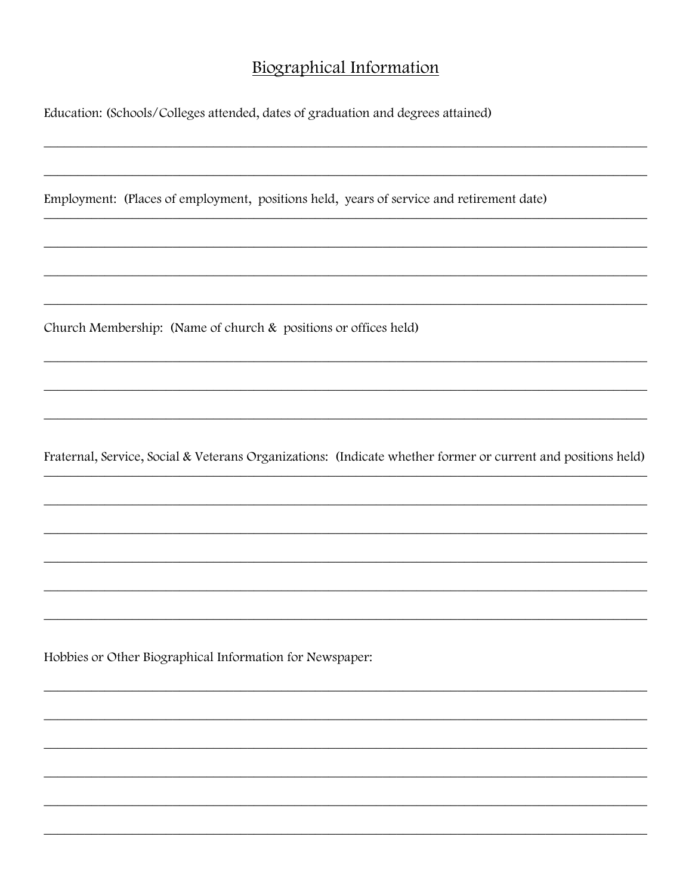### **Biographical Information**

Education: (Schools/Colleges attended, dates of graduation and degrees attained)

Employment: (Places of employment, positions held, years of service and retirement date)

Church Membership: (Name of church & positions or offices held)

Fraternal, Service, Social & Veterans Organizations: (Indicate whether former or current and positions held)

Hobbies or Other Biographical Information for Newspaper: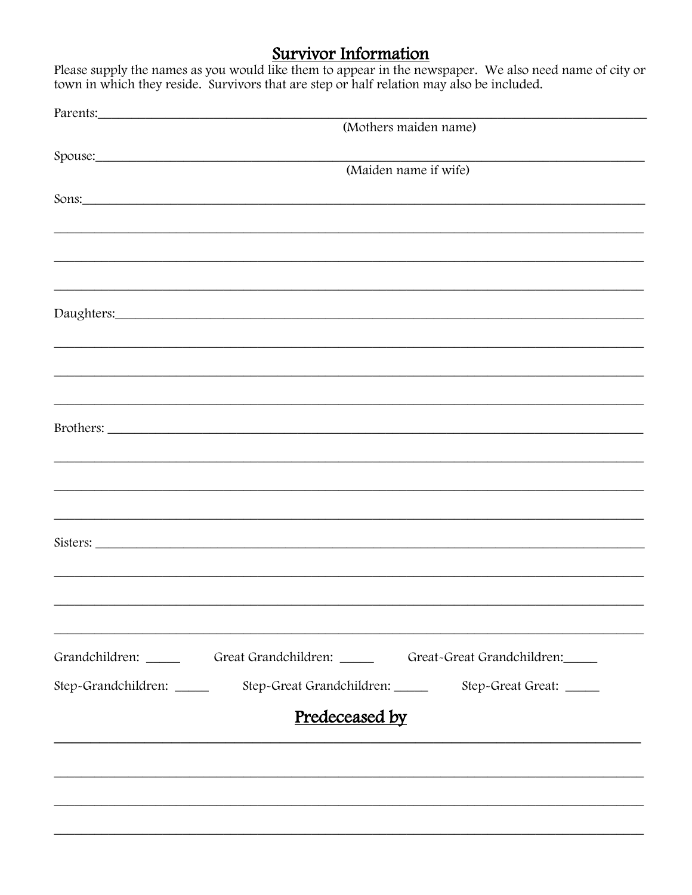Survivor Information<br>Please supply the names as you would like them to appear in the newspaper. We also need name of city or<br>town in which they reside. Survivors that are step or half relation may also be included.

| Parents:       |                                                                                    |  |  |  |  |  |
|----------------|------------------------------------------------------------------------------------|--|--|--|--|--|
|                | (Mothers maiden name)                                                              |  |  |  |  |  |
|                |                                                                                    |  |  |  |  |  |
|                | Spouse:<br>(Maiden name if wife)                                                   |  |  |  |  |  |
|                |                                                                                    |  |  |  |  |  |
|                | Sons:                                                                              |  |  |  |  |  |
|                |                                                                                    |  |  |  |  |  |
|                |                                                                                    |  |  |  |  |  |
|                |                                                                                    |  |  |  |  |  |
|                |                                                                                    |  |  |  |  |  |
|                |                                                                                    |  |  |  |  |  |
|                |                                                                                    |  |  |  |  |  |
|                |                                                                                    |  |  |  |  |  |
|                | <u> 1989 - Jan James James Barnett, amerikan berlindar (h. 1989).</u>              |  |  |  |  |  |
|                |                                                                                    |  |  |  |  |  |
|                |                                                                                    |  |  |  |  |  |
|                | ,我们也不能在这里的时候,我们也不能在这里的时候,我们也不能会在这里的时候,我们也不能会在这里的时候,我们也不能会在这里的时候,我们也不能会在这里的时候,我们也不  |  |  |  |  |  |
|                |                                                                                    |  |  |  |  |  |
|                |                                                                                    |  |  |  |  |  |
|                |                                                                                    |  |  |  |  |  |
|                | Sisters:                                                                           |  |  |  |  |  |
|                |                                                                                    |  |  |  |  |  |
|                |                                                                                    |  |  |  |  |  |
|                |                                                                                    |  |  |  |  |  |
|                | Grandchildren: Great Grandchildren: Great -Great Grandchildren:                    |  |  |  |  |  |
|                | Step-Grandchildren: _______ Step-Great Grandchildren: _____ Step-Great Great: ____ |  |  |  |  |  |
|                |                                                                                    |  |  |  |  |  |
| Predeceased by |                                                                                    |  |  |  |  |  |
|                |                                                                                    |  |  |  |  |  |
|                |                                                                                    |  |  |  |  |  |
|                |                                                                                    |  |  |  |  |  |
|                |                                                                                    |  |  |  |  |  |
|                |                                                                                    |  |  |  |  |  |